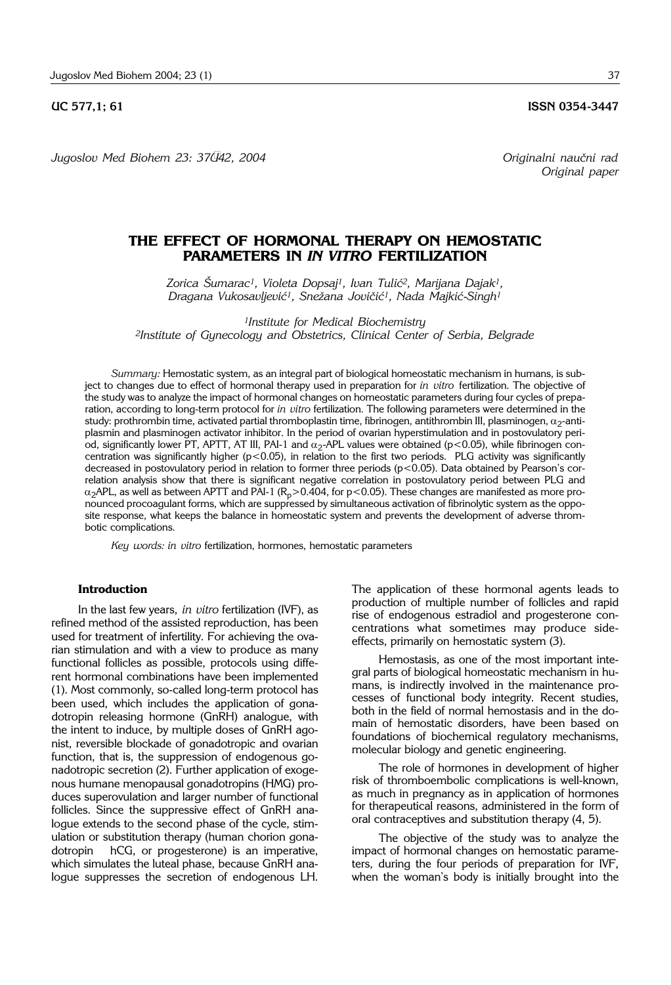*Jugoslov Med Biohem 23: 37–42, 2004 Originalni nau~ni rad*

*Original paper*

# **THE EFFECT OF HORMONAL THERAPY ON HEMOSTATIC PARAMETERS IN** *IN VITRO* **FERTILIZATION**

*Zorica [umarac1, Violeta Dopsaj1, Ivan Tuli}2, Marijana Dajak1, Dragana Vukosavljevi}1, Sne`ana Jovi~i}1, Nada Majki}*-*Singh1*

*1Institute for Medical Biochemistry 2Institute of Gynecology and Obstetrics, Clinical Center of Serbia, Belgrade*

*Summary:* Hemostatic system, as an integral part of biological homeostatic mechanism in humans, is subject to changes due to effect of hormonal therapy used in preparation for *in vitro* fertilization. The objective of the study was to analyze the impact of hormonal changes on homeostatic parameters during four cycles of preparation, according to long-term protocol for *in vitro* fertilization. The following parameters were determined in the study: prothrombin time, activated partial thromboplastin time, fibrinogen, antithrombin III, plasminogen,  $\alpha_2$ -antiplasmin and plasminogen activator inhibitor. In the period of ovarian hyperstimulation and in postovulatory period, significantly lower PT, APTT, AT III, PAI-1 and  $\alpha_2$ -APL values were obtained (p<0.05), while fibrinogen concentration was significantly higher ( $p$ <0.05), in relation to the first two periods. PLG activity was significantly decreased in postovulatory period in relation to former three periods (p<0.05). Data obtained by Pearson's correlation analysis show that there is significant negative correlation in postovulatory period between PLG and  $\alpha_2$ APL, as well as between APTT and PAI-1 (R<sub>p</sub>>0.404, for p<0.05). These changes are manifested as more pronounced procoagulant forms, which are suppressed by simultaneous activation of fibrinolytic system as the opposite response, what keeps the balance in homeostatic system and prevents the development of adverse thrombotic complications.

*Key words: in vitro* fertilization, hormones, hemostatic parameters

## **Introduction**

In the last few years, *in vitro* fertilization (IVF), as refined method of the assisted reproduction, has been used for treatment of infertility. For achieving the ovarian stimulation and with a view to produce as many functional follicles as possible, protocols using different hormonal combinations have been implemented (1). Most commonly, so-called long-term protocol has been used, which includes the application of gonadotropin releasing hormone (GnRH) analogue, with the intent to induce, by multiple doses of GnRH agonist, reversible blockade of gonadotropic and ovarian function, that is, the suppression of endogenous gonadotropic secretion (2). Further application of exogenous humane menopausal gonadotropins (HMG) produces superovulation and larger number of functional follicles. Since the suppressive effect of GnRH analogue extends to the second phase of the cycle, stimulation or substitution therapy (human chorion gonadotropin hCG, or progesterone) is an imperative, which simulates the luteal phase, because GnRH analogue suppresses the secretion of endogenous LH.

The application of these hormonal agents leads to production of multiple number of follicles and rapid rise of endogenous estradiol and progesterone concentrations what sometimes may produce sideeffects, primarily on hemostatic system (3).

Hemostasis, as one of the most important integral parts of biological homeostatic mechanism in humans, is indirectly involved in the maintenance processes of functional body integrity. Recent studies, both in the field of normal hemostasis and in the domain of hemostatic disorders, have been based on foundations of biochemical regulatory mechanisms, molecular biology and genetic engineering.

The role of hormones in development of higher risk of thromboembolic complications is well-known, as much in pregnancy as in application of hormones for therapeutical reasons, administered in the form of oral contraceptives and substitution therapy (4, 5).

The objective of the study was to analyze the impact of hormonal changes on hemostatic parameters, during the four periods of preparation for IVF, when the woman's body is initially brought into the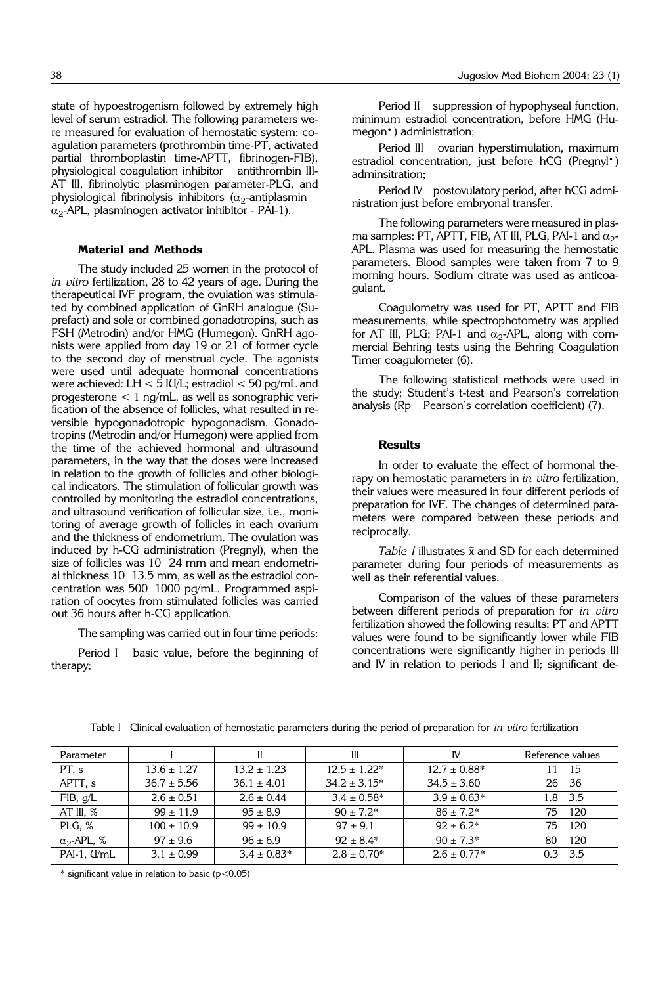state of hypoestrogenism followed by extremely high level of serum estradiol. The following parameters were measured for evaluation of hemostatic system: coagulation parameters (prothrombin time-PT, activated partial thromboplastin time-APTT, fibrinogen-FIB), physiological coagulation inhibitor antithrombin III-AT III, fibrinolytic plasminogen parameter-PLG, and physiological fibrinolysis inhibitors ( $\alpha_2$ -antiplasmin  $\alpha_2$ -APL, plasminogen activator inhibitor - PAI-1).

## **Material and Methods**

The study included 25 women in the protocol of *in vitro* fertilization, 28 to 42 years of age. During the therapeutical IVF program, the ovulation was stimulated by combined application of GnRH analogue (Suprefact) and sole or combined gonadotropins, such as FSH (Metrodin) and/or HMG (Humegon). GnRH agonists were applied from day 19 or 21 of former cycle to the second day of menstrual cycle. The agonists were used until adequate hormonal concentrations were achieved: LH  $<$  5 IU/L; estradiol  $<$  50 pg/mL and progesterone  $< 1$  ng/mL, as well as sonographic verification of the absence of follicles, what resulted in reversible hypogonadotropic hypogonadism. Gonadotropins (Metrodin and/or Humegon) were applied from the time of the achieved hormonal and ultrasound parameters, in the way that the doses were increased in relation to the growth of follicles and other biological indicators. The stimulation of follicular growth was controlled by monitoring the estradiol concentrations, and ultrasound verification of follicular size, i.e., monitoring of average growth of follicles in each ovarium and the thickness of endometrium. The ovulation was induced by h-CG administration (Pregnyl), when the size of follicles was 10 24 mm and mean endometrial thickness 10 13.5 mm, as well as the estradiol concentration was 500 1000 pg/mL. Programmed aspiration of oocytes from stimulated follicles was carried out 36 hours after h-CG application.

The sampling was carried out in four time periods:

Period I basic value, before the beginning of therapy;

Period II suppression of hypophyseal function, minimum estradiol concentration, before HMG (Humegon<sup>•</sup>) administration;

Period III ovarian hyperstimulation, maximum estradiol concentration, just before hCG (Pregnyl<sup>\*</sup>) adminsitration;

Period IV postovulatory period, after hCG administration just before embryonal transfer.

The following parameters were measured in plasma samples: PT, APTT, FIB, AT III, PLG, PAI-1 and  $\alpha_2$ -APL. Plasma was used for measuring the hemostatic parameters. Blood samples were taken from 7 to 9 morning hours. Sodium citrate was used as anticoagulant.

Coagulometry was used for PT, APTT and FIB measurements, while spectrophotometry was applied for AT III, PLG; PAI-1 and  $\alpha_2$ -APL, along with commercial Behring tests using the Behring Coagulation Timer coagulometer (6).

The following statistical methods were used in the study: Student's t-test and Pearson's correlation analysis (Rp Pearson's correlation coefficient) (7).

#### **Results**

In order to evaluate the effect of hormonal therapy on hemostatic parameters in *in vitro* fertilization, their values were measured in four different periods of preparation for IVF. The changes of determined parameters were compared between these periods and reciprocally.

Table  $I$  illustrates  $\bar{x}$  and SD for each determined parameter during four periods of measurements as well as their referential values.

Comparison of the values of these parameters between different periods of preparation for *in vitro* fertilization showed the following results: PT and APTT values were found to be significantly lower while FIB concentrations were significantly higher in periods III and IV in relation to periods I and II; significant de-

| Parameter                                           |                 | H               | Ш                 | IV               | Reference values        |
|-----------------------------------------------------|-----------------|-----------------|-------------------|------------------|-------------------------|
| PT, s                                               | $13.6 \pm 1.27$ | $13.2 \pm 1.23$ | $12.5 \pm 1.22*$  | $12.7 \pm 0.88*$ | 15<br>11                |
| APTT, s                                             | $36.7 \pm 5.56$ | $36.1 \pm 4.01$ | $34.2 \pm 3.15^*$ | $34.5 \pm 3.60$  | 26<br>-36               |
| FIB, g/L                                            | $2.6 \pm 0.51$  | $2.6 \pm 0.44$  | $3.4 \pm 0.58^*$  | $3.9 \pm 0.63*$  | 3.5<br>1.8 <sup>°</sup> |
| AT III, $%$                                         | $99 \pm 11.9$   | $95 \pm 8.9$    | $90 \pm 7.2^*$    | $86 \pm 7.2*$    | 120<br>75               |
| PLG, %                                              | $100 \pm 10.9$  | $99 \pm 10.9$   | $97 \pm 9.1$      | $92 \pm 6.2^*$   | 120<br>75               |
| $\alpha$ <sub>2</sub> -APL, %                       | $97 \pm 9.6$    | $96 \pm 6.9$    | $92 \pm 8.4*$     | $90 \pm 7.3*$    | 120<br>80               |
| $PAI-1$ , $I/ML$                                    | $3.1 \pm 0.99$  | $3.4 \pm 0.83*$ | $2.8 \pm 0.70^*$  | $2.6 \pm 0.77*$  | 3.5<br>0.3              |
| * significant value in relation to basic $(p<0.05)$ |                 |                 |                   |                  |                         |

Table I Clinical evaluation of hemostatic parameters during the period of preparation for *in vitro* fertilization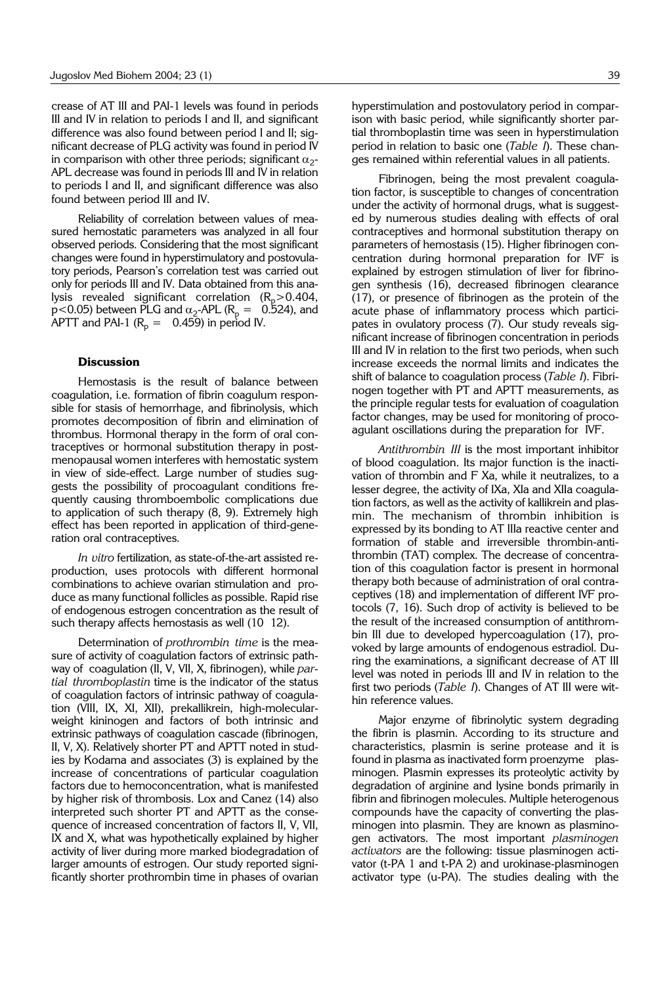crease of AT III and PAI-1 levels was found in periods III and IV in relation to periods I and II, and significant difference was also found between period I and II; significant decrease of PLG activity was found in period IV in comparison with other three periods; significant  $\alpha_2$ -APL decrease was found in periods III and IV in relation to periods I and II, and significant difference was also found between period III and IV.

Reliability of correlation between values of measured hemostatic parameters was analyzed in all four observed periods. Considering that the most significant changes were found in hyperstimulatory and postovulatory periods, Pearson's correlation test was carried out only for periods III and IV. Data obtained from this analysis revealed significant correlation  $(R_p > 0.404,$  $p<0.05$ ) between PLG and  $\alpha_2$ -APL ( $R_p = 0.524$ ), and APTT and PAI-1 ( $R_p = 0.459$ ) in period IV.

## **Discussion**

Hemostasis is the result of balance between coagulation, i.e. formation of fibrin coagulum responsible for stasis of hemorrhage, and fibrinolysis, which promotes decomposition of fibrin and elimination of thrombus. Hormonal therapy in the form of oral contraceptives or hormonal substitution therapy in postmenopausal women interferes with hemostatic system in view of side-effect. Large number of studies suggests the possibility of procoagulant conditions frequently causing thromboembolic complications due to application of such therapy (8, 9). Extremely high effect has been reported in application of third-generation oral contraceptives.

*In vitro* fertilization, as state-of-the-art assisted reproduction, uses protocols with different hormonal combinations to achieve ovarian stimulation and produce as many functional follicles as possible. Rapid rise of endogenous estrogen concentration as the result of such therapy affects hemostasis as well (10 12).

Determination of *prothrombin time* is the measure of activity of coagulation factors of extrinsic pathway of coagulation (II, V, VII, X, fibrinogen), while *partial thromboplastin* time is the indicator of the status of coagulation factors of intrinsic pathway of coagulation (VIII, IX, XI, XII), prekallikrein, high-molecularweight kininogen and factors of both intrinsic and extrinsic pathways of coagulation cascade (fibrinogen, II, V, X). Relatively shorter PT and APTT noted in studies by Kodama and associates (3) is explained by the increase of concentrations of particular coagulation factors due to hemoconcentration, what is manifested by higher risk of thrombosis. Lox and Canez (14) also interpreted such shorter PT and APTT as the consequence of increased concentration of factors II, V, VII, IX and X, what was hypothetically explained by higher activity of liver during more marked biodegradation of larger amounts of estrogen. Our study reported significantly shorter prothrombin time in phases of ovarian

hyperstimulation and postovulatory period in comparison with basic period, while significantly shorter partial thromboplastin time was seen in hyperstimulation period in relation to basic one (*Table I*). These changes remained within referential values in all patients.

Fibrinogen, being the most prevalent coagulation factor, is susceptible to changes of concentration under the activity of hormonal drugs, what is suggested by numerous studies dealing with effects of oral contraceptives and hormonal substitution therapy on parameters of hemostasis (15). Higher fibrinogen concentration during hormonal preparation for IVF is explained by estrogen stimulation of liver for fibrinogen synthesis (16), decreased fibrinogen clearance (17), or presence of fibrinogen as the protein of the acute phase of inflammatory process which participates in ovulatory process (7). Our study reveals significant increase of fibrinogen concentration in periods III and IV in relation to the first two periods, when such increase exceeds the normal limits and indicates the shift of balance to coagulation process (*Table I*). Fibrinogen together with PT and APTT measurements, as the principle regular tests for evaluation of coagulation factor changes, may be used for monitoring of procoagulant oscillations during the preparation for IVF.

*Antithrombin III* is the most important inhibitor of blood coagulation. Its major function is the inactivation of thrombin and F Xa, while it neutralizes, to a lesser degree, the activity of IXa, XIa and XIIa coagulation factors, as well as the activity of kallikrein and plasmin. The mechanism of thrombin inhibition is expressed by its bonding to AT IIIa reactive center and formation of stable and irreversible thrombin-antithrombin (TAT) complex. The decrease of concentration of this coagulation factor is present in hormonal therapy both because of administration of oral contraceptives (18) and implementation of different IVF protocols (7, 16). Such drop of activity is believed to be the result of the increased consumption of antithrombin III due to developed hypercoagulation (17), provoked by large amounts of endogenous estradiol. During the examinations, a significant decrease of AT III level was noted in periods III and IV in relation to the first two periods (*Table I*). Changes of AT III were within reference values.

Major enzyme of fibrinolytic system degrading the fibrin is plasmin. According to its structure and characteristics, plasmin is serine protease and it is found in plasma as inactivated form proenzyme plasminogen. Plasmin expresses its proteolytic activity by degradation of arginine and lysine bonds primarily in fibrin and fibrinogen molecules. Multiple heterogenous compounds have the capacity of converting the plasminogen into plasmin. They are known as plasminogen activators. The most important *plasminogen activators* are the following: tissue plasminogen activator (t-PA 1 and t-PA 2) and urokinase-plasminogen activator type (u-PA). The studies dealing with the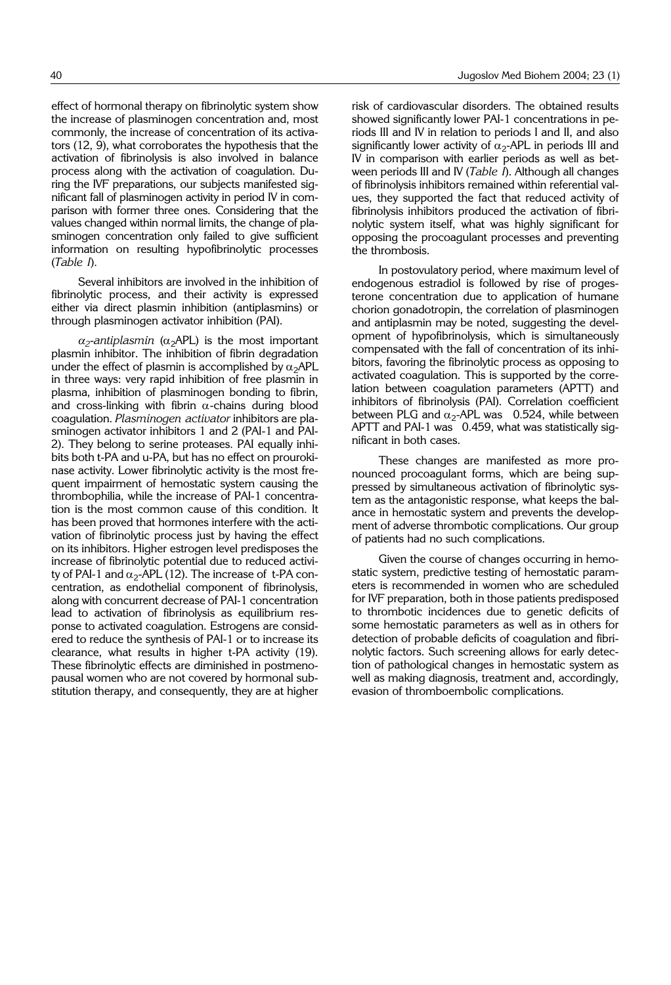effect of hormonal therapy on fibrinolytic system show the increase of plasminogen concentration and, most commonly, the increase of concentration of its activators (12, 9), what corroborates the hypothesis that the activation of fibrinolysis is also involved in balance process along with the activation of coagulation. During the IVF preparations, our subjects manifested significant fall of plasminogen activity in period IV in comparison with former three ones. Considering that the values changed within normal limits, the change of plasminogen concentration only failed to give sufficient information on resulting hypofibrinolytic processes (*Table I*).

Several inhibitors are involved in the inhibition of fibrinolytic process, and their activity is expressed either via direct plasmin inhibition (antiplasmins) or through plasminogen activator inhibition (PAI).

 $\alpha_2$ -*antiplasmin* ( $\alpha_2$ APL) is the most important plasmin inhibitor. The inhibition of fibrin degradation under the effect of plasmin is accomplished by  $\alpha_2$ APL in three ways: very rapid inhibition of free plasmin in plasma, inhibition of plasminogen bonding to fibrin, and cross-linking with fibrin  $\alpha$ -chains during blood coagulation. *Plasminogen activator* inhibitors are plasminogen activator inhibitors 1 and 2 (PAI-1 and PAI-2). They belong to serine proteases. PAI equally inhibits both t-PA and u-PA, but has no effect on prourokinase activity. Lower fibrinolytic activity is the most frequent impairment of hemostatic system causing the thrombophilia, while the increase of PAI-1 concentration is the most common cause of this condition. It has been proved that hormones interfere with the activation of fibrinolytic process just by having the effect on its inhibitors. Higher estrogen level predisposes the increase of fibrinolytic potential due to reduced activity of PAI-1 and  $\alpha_2$ -APL (12). The increase of t-PA concentration, as endothelial component of fibrinolysis, along with concurrent decrease of PAI-1 concentration lead to activation of fibrinolysis as equilibrium response to activated coagulation. Estrogens are considered to reduce the synthesis of PAI-1 or to increase its clearance, what results in higher t-PA activity (19). These fibrinolytic effects are diminished in postmenopausal women who are not covered by hormonal substitution therapy, and consequently, they are at higher

risk of cardiovascular disorders. The obtained results showed significantly lower PAI-1 concentrations in periods III and IV in relation to periods I and II, and also significantly lower activity of  $\alpha_2$ -APL in periods III and IV in comparison with earlier periods as well as between periods III and IV (*Table I*). Although all changes of fibrinolysis inhibitors remained within referential values, they supported the fact that reduced activity of fibrinolysis inhibitors produced the activation of fibrinolytic system itself, what was highly significant for opposing the procoagulant processes and preventing the thrombosis.

In postovulatory period, where maximum level of endogenous estradiol is followed by rise of progesterone concentration due to application of humane chorion gonadotropin, the correlation of plasminogen and antiplasmin may be noted, suggesting the development of hypofibrinolysis, which is simultaneously compensated with the fall of concentration of its inhibitors, favoring the fibrinolytic process as opposing to activated coagulation. This is supported by the correlation between coagulation parameters (APTT) and inhibitors of fibrinolysis (PAI). Correlation coefficient between PLG and  $\alpha_2$ -APL was 0.524, while between APTT and PAI-1 was 0.459, what was statistically significant in both cases.

These changes are manifested as more pronounced procoagulant forms, which are being suppressed by simultaneous activation of fibrinolytic system as the antagonistic response, what keeps the balance in hemostatic system and prevents the development of adverse thrombotic complications. Our group of patients had no such complications.

Given the course of changes occurring in hemostatic system, predictive testing of hemostatic parameters is recommended in women who are scheduled for IVF preparation, both in those patients predisposed to thrombotic incidences due to genetic deficits of some hemostatic parameters as well as in others for detection of probable deficits of coagulation and fibrinolytic factors. Such screening allows for early detection of pathological changes in hemostatic system as well as making diagnosis, treatment and, accordingly, evasion of thromboembolic complications.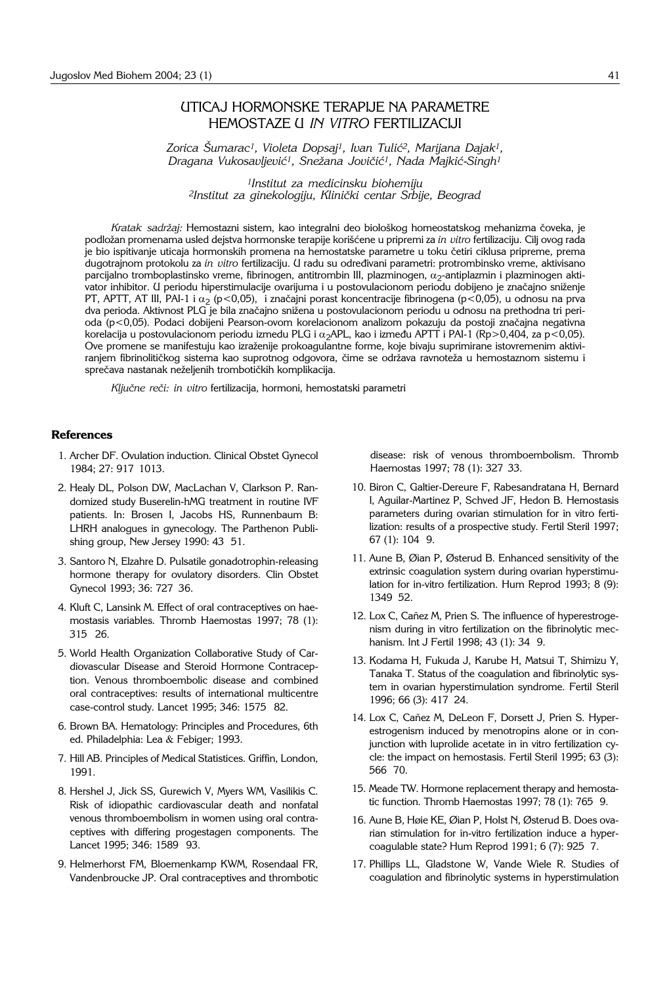## UTICAJ HORMONSKE TERAPIJE NA PARAMETRE HEMOSTAZE U *IN VITRO* FERTILIZACIJI

*Zorica [umarac1, Violeta Dopsaj1, Ivan Tuli}2, Marijana Dajak1, Dragana Vukosavljevi}1, Sne`ana Jovi~i}1, Nada Majki}*-*Singh1*

*1Institut za medicinsku biohemiju 2Institut za ginekologiju, Klini~ki centar Srbije, Beograd*

Kratak sadržaj: Hemostazni sistem, kao integralni deo biološkog homeostatskog mehanizma čoveka, je podložan promenama usled dejstva hormonske terapije korišćene u pripremi za *in vitro* fertilizaciju. Cilj ovog rada je bio ispitivanje uticaja hormonskih promena na hemostatske parametre u toku četiri ciklusa pripreme, prema dugotrajnom protokolu za *in vitro* fertilizaciju. U radu su određivani parametri: protrombinsko vreme, aktivisano parcijalno tromboplastinsko vreme, fibrinogen, antitrombin III, plazminogen,  $\alpha_2$ -antiplazmin i plazminogen aktivator inhibitor. U periodu hiperstimulacije ovarijuma i u postovulacionom periodu dobijeno je značajno sniženje PT, APTT, AT III, PAI-1 i  $\alpha_2$  (p<0,05), i značajni porast koncentracije fibrinogena (p<0,05), u odnosu na prva dva perioda. Aktivnost PLG je bila značajno snižena u postovulacionom periodu u odnosu na prethodna tri perioda (p<0,05). Podaci dobijeni Pearson-ovom korelacionom analizom pokazuju da postoji značajna negativna korelacija u postovulacionom periodu izmedu PLG i  $\alpha_2$ APL, kao i između APTT i PAI-1 (Rp>0,404, za p<0,05). Ove promene se manifestuju kao izra`enije prokoagulantne forme, koje bivaju suprimirane istovremenim aktiviranjem fibrinolitičkog sistema kao suprotnog odgovora, čime se održava ravnoteža u hemostaznom sistemu i sprečava nastanak neželjenih trombotičkih komplikacija.

Ključne reči: in vitro fertilizacija, hormoni, hemostatski parametri

## **References**

- 1. Archer DF. Ovulation induction. Clinical Obstet Gynecol 1984; 27: 917 1013.
- 2. Healy DL, Polson DW, MacLachan V, Clarkson P. Randomized study Buserelin-hMG treatment in routine IVF patients. In: Brosen I, Jacobs HS, Runnenbaum B: LHRH analogues in gynecology. The Parthenon Publishing group, New Jersey 1990: 43 51.
- 3. Santoro N, Elzahre D. Pulsatile gonadotrophin-releasing hormone therapy for ovulatory disorders. Clin Obstet Gynecol 1993; 36: 727 36.
- 4. Kluft C, Lansink M. Effect of oral contraceptives on haemostasis variables. Thromb Haemostas 1997; 78 (1): 315 26.
- 5. World Health Organization Collaborative Study of Cardiovascular Disease and Steroid Hormone Contraception. Venous thromboembolic disease and combined oral contraceptives: results of international multicentre case-control study. Lancet 1995; 346: 1575 '82.
- 6. Brown BA. Hematology: Principles and Procedures, 6th ed. Philadelphia: Lea & Febiger; 1993.
- 7. Hill AB. Principles of Medical Statistices. Griffin, London, 1991.
- 8. Hershel J, Jick SS, Gurewich V, Myers WM, Vasilikis C. Risk of idiopathic cardiovascular death and nonfatal venous thromboembolism in women using oral contraceptives with differing progestagen components. The Lancet 1995; 346: 1589 93.
- 9. Helmerhorst FM, Bloemenkamp KWM, Rosendaal FR, Vandenbroucke JP. Oral contraceptives and thrombotic

disease: risk of venous thromboembolism. Thromb Haemostas 1997; 78 (1): 327 33.

- 10. Biron C, Galtier-Dereure F, Rabesandratana H, Bernard I, Aguilar-Martinez P, Schved JF, Hedon B. Hemostasis parameters during ovarian stimulation for in vitro fertilization: results of a prospective study. Fertil Steril 1997; 67 (1): 104'9.
- 11. Aune B, Øian P, Østerud B. Enhanced sensitivity of the extrinsic coagulation system during ovarian hyperstimulation for in-vitro fertilization. Hum Reprod 1993; 8 (9): 1349'52.
- 12. Lox C, Cañez M, Prien S. The influence of hyperestrogenism during in vitro fertilization on the fibrinolytic mechanism. Int J Fertil 1998; 43 (1): 34 9.
- 13. Kodama H, Fukuda J, Karube H, Matsui T, Shimizu Y, Tanaka T. Status of the coagulation and fibrinolytic system in ovarian hyperstimulation syndrome. Fertil Steril 1996; 66 (3): 417 24.
- 14. Lox C, Cañez M, DeLeon F, Dorsett J, Prien S. Hyperestrogenism induced by menotropins alone or in conjunction with luprolide acetate in in vitro fertilization cycle: the impact on hemostasis. Fertil Steril 1995; 63 (3): 566 '70.
- 15. Meade TW. Hormone replacement therapy and hemostatic function. Thromb Haemostas 1997; 78 (1): 765 9.
- 16. Aune B, Høie KE, Øian P, Holst N, Østerud B. Does ovarian stimulation for in-vitro fertilization induce a hypercoagulable state? Hum Reprod 1991; 6 (7): 925 7.
- 17. Phillips LL, Gladstone W, Vande Wiele R. Studies of coagulation and fibrinolytic systems in hyperstimulation